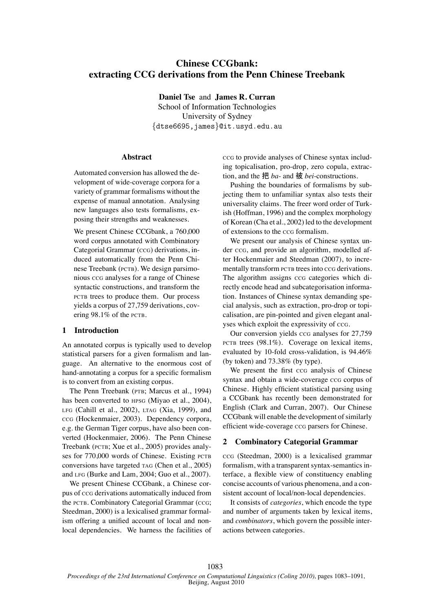# **Chinese CCGbank: extracting CCG derivations from the Penn Chinese Treebank**

**Daniel Tse** and **James R. Curran**

School of Information Technologies University of Sydney *{*dtse6695,james*}*@it.usyd.edu.au

## **Abstract**

Automated conversion has allowed the development of wide-coverage corpora for a variety of grammar formalisms without the expense of manual annotation. Analysing new languages also tests formalisms, exposing their strengths and weaknesses.

We present Chinese CCGbank, a 760,000 word corpus annotated with Combinatory Categorial Grammar (CCG) derivations, induced automatically from the Penn Chinese Treebank (PCTB). We design parsimonious CCG analyses for a range of Chinese syntactic constructions, and transform the PCTB trees to produce them. Our process yields a corpus of 27,759 derivations, covering 98.1% of the PCTB.

# **1 Introduction**

An annotated corpus is typically used to develop statistical parsers for a given formalism and language. An alternative to the enormous cost of hand-annotating a corpus for a specific formalism is to convert from an existing corpus.

The Penn Treebank (PTB; Marcus et al., 1994) has been converted to HPSG (Miyao et al., 2004), LFG (Cahill et al., 2002), LTAG (Xia, 1999), and CCG (Hockenmaier, 2003). Dependency corpora, e.g. the German Tiger corpus, have also been converted (Hockenmaier, 2006). The Penn Chinese Treebank (PCTB; Xue et al., 2005) provides analyses for 770,000 words of Chinese. Existing PCTB conversions have targeted TAG (Chen et al., 2005) and LFG (Burke and Lam, 2004; Guo et al., 2007).

We present Chinese CCGbank, a Chinese corpus of CCG derivations automatically induced from the PCTB. Combinatory Categorial Grammar (CCG; Steedman, 2000) is a lexicalised grammar formalism offering a unified account of local and nonlocal dependencies. We harness the facilities of CCG to provide analyses of Chinese syntax including topicalisation, pro-drop, zero copula, extraction, and the 把 *ba*- and 被 *bei*-constructions.

Pushing the boundaries of formalisms by subjecting them to unfamiliar syntax also tests their universality claims. The freer word order of Turkish (Hoffman, 1996) and the complex morphology of Korean (Cha et al., 2002) led to the development of extensions to the CCG formalism.

We present our analysis of Chinese syntax under CCG, and provide an algorithm, modelled after Hockenmaier and Steedman (2007), to incrementally transform PCTB trees into CCG derivations. The algorithm assigns CCG categories which directly encode head and subcategorisation information. Instances of Chinese syntax demanding special analysis, such as extraction, pro-drop or topicalisation, are pin-pointed and given elegant analyses which exploit the expressivity of CCG.

Our conversion yields CCG analyses for 27,759 PCTB trees (98.1%). Coverage on lexical items, evaluated by 10-fold cross-validation, is 94.46% (by token) and 73.38% (by type).

We present the first CCG analysis of Chinese syntax and obtain a wide-coverage CCG corpus of Chinese. Highly efficient statistical parsing using a CCGbank has recently been demonstrated for English (Clark and Curran, 2007). Our Chinese CCGbank will enable the development of similarly efficient wide-coverage CCG parsers for Chinese.

## **2 Combinatory Categorial Grammar**

CCG (Steedman, 2000) is a lexicalised grammar formalism, with a transparent syntax-semantics interface, a flexible view of constituency enabling concise accounts of various phenomena, and a consistent account of local/non-local dependencies.

It consists of *categories*, which encode the type and number of arguments taken by lexical items, and *combinators*, which govern the possible interactions between categories.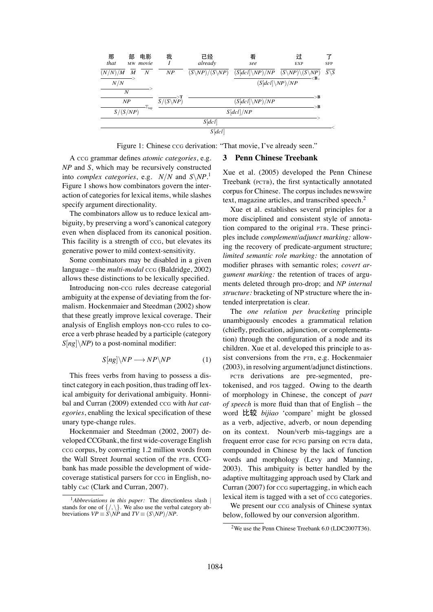| 那<br>that | 部<br>MW  | 电影<br>movie | 我                               | 已经<br>already                       | 看<br>see                                                             | 过<br>EXP                                                             | <b>SFP</b>      |
|-----------|----------|-------------|---------------------------------|-------------------------------------|----------------------------------------------------------------------|----------------------------------------------------------------------|-----------------|
| (N/N)/M   | M        | N           | NP                              | $(S\backslash NP)/(S\backslash NP)$ | $(S[dcl]\setminus NP)/NP$ $(S\setminus NP)\setminus (S\setminus NP)$ |                                                                      | $S\backslash S$ |
| N/N       |          |             |                                 |                                     |                                                                      | $<$ B $\scriptstyle\rm\scriptstyle\sim$<br>$(S[dcl]\setminus NP)/NP$ |                 |
|           | N        |             |                                 |                                     |                                                                      | ->B                                                                  |                 |
|           | NP       |             | $S/(\overline{S\backslash NP})$ |                                     | $(S[dcl]\setminus NP)/NP$                                            |                                                                      |                 |
|           | S/(S/NP) | $T_{top}$   |                                 |                                     | S[dc]/NP                                                             | ⇒B                                                                   |                 |
|           |          |             |                                 | S[dc]                               |                                                                      |                                                                      |                 |
|           |          |             |                                 | $C1 - 11$                           |                                                                      |                                                                      |                 |

 $S[dc]$ 

Figure 1: Chinese ccG derivation: "That movie, I've already seen."

# **3 Penn Chinese Treebank**

A CCG grammar defines *atomic categories*, e.g. *NP* and *S*, which may be recursively constructed into *complex categories*, e.g. *N*/*N* and *S\NP*. 1 Figure 1 shows how combinators govern the interaction of categories for lexical items, while slashes specify argument directionality.

The combinators allow us to reduce lexical ambiguity, by preserving a word's canonical category even when displaced from its canonical position. This facility is a strength of ccG, but elevates its generative power to mild context-sensitivity.

Some combinators may be disabled in a given language – the *multi-modal* CCG (Baldridge, 2002) allows these distinctions to be lexically specified.

Introducing non-CCG rules decrease categorial ambiguity at the expense of deviating from the formalism. Hockenmaier and Steedman (2002) show that these greatly improve lexical coverage. Their analysis of English employs non-CCG rules to coerce a verb phrase headed by a participle (category  $S[ng] \setminus NP$  to a post-nominal modifier:

$$
S[ng] \backslash NP \longrightarrow NP \backslash NP \tag{1}
$$

This frees verbs from having to possess a distinct category in each position, thus trading off lexical ambiguity for derivational ambiguity. Honnibal and Curran (2009) extended CCG with *hat categories*, enabling the lexical specification of these unary type-change rules.

Hockenmaier and Steedman (2002, 2007) developed CCGbank, the first wide-coverage English CCG corpus, by converting 1.2 million words from the Wall Street Journal section of the PTB. CCGbank has made possible the development of widecoverage statistical parsers for CCG in English, notably <sup>C</sup>&<sup>C</sup> (Clark and Curran, 2007).

Xue et al. (2005) developed the Penn Chinese Treebank (PCTB), the first syntactically annotated corpus for Chinese. The corpus includes newswire text, magazine articles, and transcribed speech.<sup>2</sup>

Xue et al. establishes several principles for a more disciplined and consistent style of annotation compared to the original PTB. These principles include *complement/adjunct marking:* allowing the recovery of predicate-argument structure; *limited semantic role marking:* the annotation of modifier phrases with semantic roles; *covert argument marking:* the retention of traces of arguments deleted through pro-drop; and *NP internal structure:* bracketing of NP structure where the intended interpretation is clear.

The *one relation per bracketing* principle unambiguously encodes a grammatical relation (chiefly, predication, adjunction, or complementation) through the configuration of a node and its children. Xue et al. developed this principle to assist conversions from the PTB, e.g. Hockenmaier (2003), in resolving argument/adjunct distinctions.

PCTB derivations are pre-segmented, pretokenised, and POS tagged. Owing to the dearth of morphology in Chinese, the concept of *part of speech* is more fluid than that of English – the word 比较 *bijiao* 'compare' might be glossed as a verb, adjective, adverb, or noun depending on its context. Noun/verb mis-taggings are a frequent error case for PCFG parsing on PCTB data, compounded in Chinese by the lack of function words and morphology (Levy and Manning, 2003). This ambiguity is better handled by the adaptive multitagging approach used by Clark and Curran (2007) for CCG supertagging, in which each lexical item is tagged with a set of ccG categories.

We present our ccG analysis of Chinese syntax below, followed by our conversion algorithm.

<sup>1</sup>*Abbreviations in this paper:* The directionless slash *|* stands for one of  $\{/\},\$ . We also use the verbal category abbreviations  $VP \equiv S\backslash NP$  and  $TV \equiv (S\backslash NP)/NP$ .

<sup>2</sup>We use the Penn Chinese Treebank 6.0 (LDC2007T36).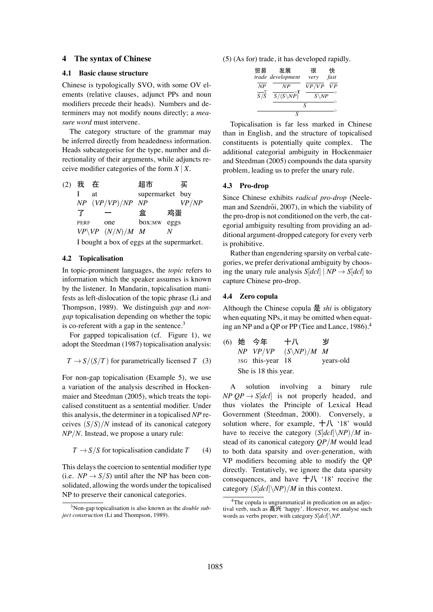## **4 The syntax of Chinese**

## **4.1 Basic clause structure**

Chinese is typologically SVO, with some OV elements (relative clauses, adjunct PPs and noun modifiers precede their heads). Numbers and determiners may not modify nouns directly; a *measure word* must intervene.

The category structure of the grammar may be inferred directly from headedness information. Heads subcategorise for the type, number and directionality of their arguments, while adjuncts receive modifier categories of the form *X | X*.

(2) 我 I *NP* 在 at (*VP*/*VP*)/*NP* 超市 supermarket buy *NP* 买 *VP*/*NP* 了 PERF *VP\VP* (*N*/*N*)/*M M* 一 one 盒 box:MW 鸡蛋 eggs *N*

I bought a box of eggs at the supermarket.

## **4.2 Topicalisation**

In topic-prominent languages, the *topic* refers to information which the speaker assumes is known by the listener. In Mandarin, topicalisation manifests as left-dislocation of the topic phrase (Li and Thompson, 1989). We distinguish *gap* and *nongap* topicalisation depending on whether the topic is co-referent with a gap in the sentence.<sup>3</sup>

For gapped topicalisation (cf. Figure 1), we adopt the Steedman (1987) topicalisation analysis:

$$
T \rightarrow S/(S/T)
$$
 for parametrically licensed T (3)

For non-gap topicalisation (Example 5), we use a variation of the analysis described in Hockenmaier and Steedman (2005), which treats the topicalised constituent as a sentential modifier. Under this analysis, the determiner in a topicalised *NP* receives (*S*/*S*)/*N* instead of its canonical category *NP*/*N*. Instead, we propose a unary rule:

$$
T \to S/S
$$
 for topicalisation candidate  $T$  (4)

This delays the coercion to sentential modifier type (i.e.  $NP \rightarrow S/S$ ) until after the NP has been consolidated, allowing the words under the topicalised NP to preserve their canonical categories.

(5) (As for) trade, it has developed rapidly.

| 贸易               | 发展<br>trade development        | 很<br>very        | 快<br>fast |
|------------------|--------------------------------|------------------|-----------|
| NP               | ΝP                             | VP/VP            | VP        |
| $\overline{s/s}$ | $\frac{1}{S/(S\backslash NP)}$ | $S\backslash NP$ |           |
|                  |                                | S.               |           |
|                  |                                |                  |           |

Topicalisation is far less marked in Chinese than in English, and the structure of topicalised constituents is potentially quite complex. The additional categorial ambiguity in Hockenmaier and Steedman (2005) compounds the data sparsity problem, leading us to prefer the unary rule.

## **4.3 Pro-drop**

Since Chinese exhibits *radical pro-drop* (Neeleman and Szendrői, 2007), in which the viability of the pro-drop is not conditioned on the verb, the categorial ambiguity resulting from providing an additional argument-dropped category for every verb is prohibitive.

Rather than engendering sparsity on verbal categories, we prefer derivational ambiguity by choosing the unary rule analysis  $S[dc1]$  |  $NP \rightarrow S[dc1]$  to capture Chinese pro-drop.

## **4.4 Zero copula**

Although the Chinese copula 是 *shi* is obligatory when equating NPs, it may be omitted when equating an NP and a QP or PP (Tiee and Lance, 1986).<sup>4</sup>

|  | (6) 她 今年                     | 十八                    | 岁         |
|--|------------------------------|-----------------------|-----------|
|  |                              | $NP VP/VP (S\NP)/M M$ |           |
|  | 3s <sub>G</sub> this-year 18 |                       | years-old |
|  | She is 18 this year.         |                       |           |

A solution involving a binary rule *NP QP*  $\rightarrow$  *S*[*dcl*] is not properly headed, and thus violates the Principle of Lexical Head Government (Steedman, 2000). Conversely, a solution where, for example, 十八 '18' would have to receive the category  $(S[dc1]\,\\rangle NP)/M$  instead of its canonical category *QP*/*M* would lead to both data sparsity and over-generation, with VP modifiers becoming able to modify the QP directly. Tentatively, we ignore the data sparsity consequences, and have  $+/\lambda$  '18' receive the category (*S*[*dcl*]*\NP*)/*M* in this context.

<sup>3</sup>Non-gap topicalisation is also known as the *double subject construction* (Li and Thompson, 1989).

<sup>&</sup>lt;sup>4</sup>The copula is ungrammatical in predication on an adjectival verb, such as 高兴 'happy'. However, we analyse such words as verbs proper, with category *S*[*dcl*]*\NP*.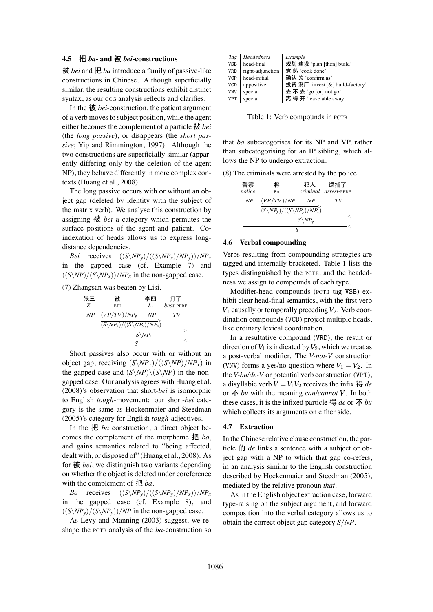## **4.5** 把 *ba***- and** 被 *bei***-constructions**

被 *bei* and 把 *ba* introduce a family of passive-like constructions in Chinese. Although superficially similar, the resulting constructions exhibit distinct syntax, as our CCG analysis reflects and clarifies.

In the 被 *bei*-construction, the patient argument of a verb moves to subject position, while the agent either becomes the complement of a particle 被 *bei* (the *long passive*), or disappears (the *short passive*; Yip and Rimmington, 1997). Although the two constructions are superficially similar (apparently differing only by the deletion of the agent NP), they behave differently in more complex contexts (Huang et al., 2008).

The long passive occurs with or without an object gap (deleted by identity with the subject of the matrix verb). We analyse this construction by assigning 被 *bei* a category which permutes the surface positions of the agent and patient. Coindexation of heads allows us to express longdistance dependencies.

*Bei* receives  $((S\ N P_y)/((S\ N P_x)/NP_y))/NP_y$ in the gapped case (cf. Example 7) and  $((S\backslash NP)/(S\backslash NP_x))/NP_x$  in the non-gapped case.

(7) Zhangsan was beaten by Lisi.

| 张三<br>Z            | 破<br>BEI                                              | 李四<br>L | 打了<br>heat-PERF |  |  |
|--------------------|-------------------------------------------------------|---------|-----------------|--|--|
| NP                 | $(VP(TV)/NP_{v})$                                     | NP      | ΤV              |  |  |
|                    | $\sqrt{(S\backslash NP_x)/((S\backslash NP_y)/NP_x)}$ |         |                 |  |  |
| $S\backslash NP_x$ |                                                       |         |                 |  |  |
|                    |                                                       |         |                 |  |  |

Short passives also occur with or without an object gap, receiving  $(S\langle NP_x \rangle/((S\langle NP \rangle/NP_x)$  in the gapped case and  $(S\N P)\ (S\N P)$  in the nongapped case. Our analysis agrees with Huang et al. (2008)'s observation that short-*bei* is isomorphic to English *tough*-movement: our short-*bei* category is the same as Hockenmaier and Steedman (2005)'s category for English *tough*-adjectives.

In the 把 *ba* construction, a direct object becomes the complement of the morpheme 把 *ba*, and gains semantics related to "being affected, dealt with, or disposed of" (Huang et al., 2008). As for 被 *bei*, we distinguish two variants depending on whether the object is deleted under coreference with the complement of 把 *ba*.

*Ba* receives  $((S\ N P_v)/((S\ N P_v)/NP_x))/NP_x$ in the gapped case (cf. Example 8), and  $((S\langle NP_{\nu}\rangle)/(S\langle NP_{\nu}\rangle)/NP$  in the non-gapped case.

As Levy and Manning (2003) suggest, we reshape the PCTB analysis of the *ba*-construction so

| Tag        | Headedness       | Example                          |
|------------|------------------|----------------------------------|
| <b>VSB</b> | head-final       | 规划 建设 'plan [then] build'        |
| <b>VRD</b> | right-adjunction | 煮熟 'cook done'                   |
| <b>VCP</b> | head-initial     | 确认 为 'confirm as'                |
| <b>VCD</b> | appositive       | 投资 设厂 'invest [&] build-factory' |
| <b>VNV</b> | special          | 去不去 'go [or] not go'             |
| <b>VPT</b> | special          | 离得开 'leave able away'            |

Table 1: Verb compounds in PCTB

that *ba* subcategorises for its NP and VP, rather than subcategorising for an IP sibling, which allows the NP to undergo extraction.

(8) The criminals were arrested by the police.

| 警察<br>police | 将<br><b>BA</b>                                                    | 犯人   | 逮捕了<br>criminal arrest-PERF |  |  |
|--------------|-------------------------------------------------------------------|------|-----------------------------|--|--|
| <b>NP</b>    | (VP(TV)/NP                                                        | - NP | ТV                          |  |  |
|              | $\sqrt{(S\backslash NP_{\nu})/((S\backslash NP_{\nu})/NP_{\nu})}$ |      |                             |  |  |
|              | $S\backslash NP_{v}$                                              |      |                             |  |  |
|              |                                                                   |      |                             |  |  |

#### **4.6 Verbal compounding**

Verbs resulting from compounding strategies are tagged and internally bracketed. Table 1 lists the types distinguished by the PCTB, and the headedness we assign to compounds of each type.

Modifier-head compounds (PCTB tag VSB) exhibit clear head-final semantics, with the first verb  $V_1$  causally or temporally preceding  $V_2$ . Verb coordination compounds (VCD) project multiple heads, like ordinary lexical coordination.

In a resultative compound (VRD), the result or direction of  $V_1$  is indicated by  $V_2$ , which we treat as a post-verbal modifier. The *V-not-V* construction (VNV) forms a yes/no question where  $V_1 = V_2$ . In the *V-bu/de-V* or potential verb construction (VPT), a disyllabic verb  $V = V_1 V_2$  receives the infix 得 *de* or 不 *bu* with the meaning *can/cannot* V. In both these cases, it is the infixed particle 得 *de* or 不 *bu* which collects its arguments on either side.

## **4.7 Extraction**

In the Chinese relative clause construction, the particle 的 *de* links a sentence with a subject or object gap with a NP to which that gap co-refers, in an analysis similar to the English construction described by Hockenmaier and Steedman (2005), mediated by the relative pronoun *that*.

As in the English object extraction case, forward type-raising on the subject argument, and forward composition into the verbal category allows us to obtain the correct object gap category *S*/*NP*.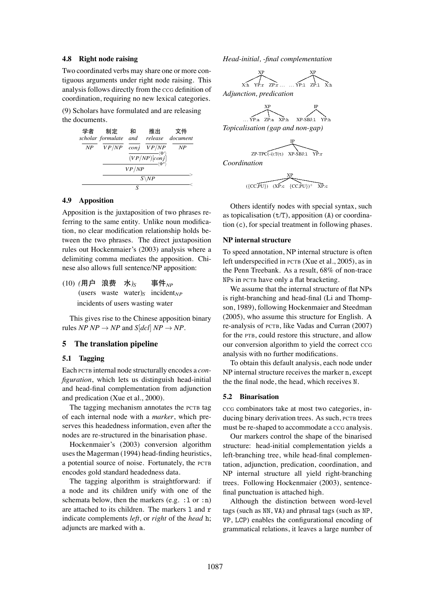# **4.8 Right node raising**

Two coordinated verbs may share one or more contiguous arguments under right node raising. This analysis follows directly from the CCG definition of coordination, requiring no new lexical categories.

(9) Scholars have formulated and are releasing the documents.



## **4.9 Apposition**

Apposition is the juxtaposition of two phrases referring to the same entity. Unlike noun modification, no clear modification relationship holds between the two phrases. The direct juxtaposition rules out Hockenmaier's (2003) analysis where a delimiting comma mediates the apposition. Chinese also allows full sentence/NP apposition:

(10) (用户 浪费 水)<sub>S</sub> (users waste water)<sub>S</sub> incident<sub>NP</sub> 事件 $N_P$ incidents of users wasting water

This gives rise to the Chinese apposition binary rules *NP NP*  $\rightarrow$  *NP* and *S*[*dcl*] *NP*  $\rightarrow$  *NP*.

#### **5 The translation pipeline**

#### **5.1 Tagging**

Each PCTB internal node structurally encodes a *configuration*, which lets us distinguish head-initial and head-final complementation from adjunction and predication (Xue et al., 2000).

The tagging mechanism annotates the PCTB tag of each internal node with a *marker*, which preserves this headedness information, even after the nodes are re-structured in the binarisation phase.

Hockenmaier's (2003) conversion algorithm uses the Magerman (1994) head-finding heuristics, a potential source of noise. Fortunately, the PCTB encodes gold standard headedness data.

The tagging algorithm is straightforward: if a node and its children unify with one of the schemata below, then the markers  $(e.g. :l or:n)$ are attached to its children. The markers 1 and r indicate complements *left*, or *right* of the *head* h; adjuncts are marked with a.

*Head-initial, -final complementation*

$$
\overbrace{X_{2h}^{PP}}^{XP} \overbrace{ZP{:}r \ldots \ldots \overbrace{YP{:}1}^{NP}}^{XP} \overbrace{ZP{:}1 \quad X{:}h}
$$

*Adjunction, predication*

XP *...* YP:a ZP:a XP:h IP XP-SBJ:l YP:h *Topicalisation (gap and non-gap)*

IP  $ZP-TPC(-i):T(t)$   $XP-SBJ:1$   $YP:r$ *Coordination*

> XP  ${ {CC}.PU}$ <sup>+</sup>  ${XP:c}$

Others identify nodes with special syntax, such as topicalisation  $(t/T)$ , apposition  $(A)$  or coordination (c), for special treatment in following phases.

#### **NP internal structure**

To speed annotation, NP internal structure is often left underspecified in PCTB (Xue et al., 2005), as in the Penn Treebank. As a result, 68% of non-trace NPs in PCTB have only a flat bracketing.

We assume that the internal structure of flat NPs is right-branching and head-final (Li and Thompson, 1989), following Hockenmaier and Steedman (2005), who assume this structure for English. A re-analysis of PCTB, like Vadas and Curran (2007) for the PTB, could restore this structure, and allow our conversion algorithm to yield the correct CCG analysis with no further modifications.

To obtain this default analysis, each node under NP internal structure receives the marker n, except the the final node, the head, which receives N.

#### **5.2 Binarisation**

CCG combinators take at most two categories, inducing binary derivation trees. As such, PCTB trees must be re-shaped to accommodate a CCG analysis.

Our markers control the shape of the binarised structure: head-initial complementation yields a left-branching tree, while head-final complementation, adjunction, predication, coordination, and NP internal structure all yield right-branching trees. Following Hockenmaier (2003), sentencefinal punctuation is attached high.

Although the distinction between word-level tags (such as NN, VA) and phrasal tags (such as NP, VP, LCP) enables the configurational encoding of grammatical relations, it leaves a large number of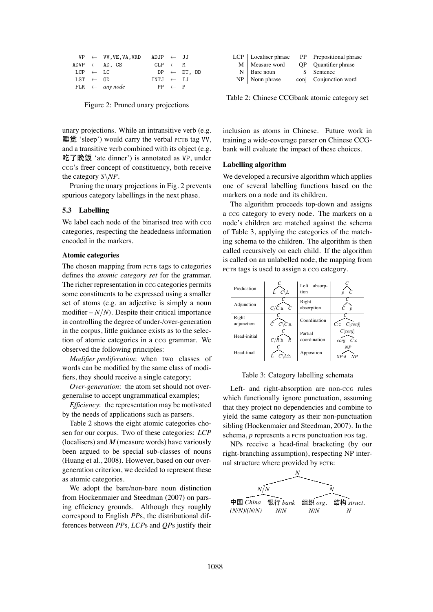|                     | $VP \leftarrow VV, VE, VA, VRD$ | ADJP $\leftarrow$ JJ |                   |                        |  |
|---------------------|---------------------------------|----------------------|-------------------|------------------------|--|
|                     | $ADVP \leftarrow AD, CS$        | $CLP \leftarrow M$   |                   |                        |  |
| $LCP \leftarrow LC$ |                                 |                      |                   | $DP \leftarrow DT, OD$ |  |
| $LST \leftarrow OD$ |                                 | $INTJ \leftarrow II$ |                   |                        |  |
|                     | FLR $\leftarrow$ any node       |                      | $PP \leftarrow P$ |                        |  |

Figure 2: Pruned unary projections

unary projections. While an intransitive verb (e.g. 睡觉 'sleep') would carry the verbal PCTB tag VV, and a transitive verb combined with its object (e.g. 吃了晚饭 'ate dinner') is annotated as VP, under CCG's freer concept of constituency, both receive the category *S\NP*.

Pruning the unary projections in Fig. 2 prevents spurious category labellings in the next phase.

## **5.3 Labelling**

We label each node of the binarised tree with CCG categories, respecting the headedness information encoded in the markers.

#### **Atomic categories**

The chosen mapping from PCTB tags to categories defines the *atomic category set* for the grammar. The richer representation in CCG categories permits some constituents to be expressed using a smaller set of atoms (e.g. an adjective is simply a noun modifier  $-N/N$ ). Despite their critical importance in controlling the degree of under-/over-generation in the corpus, little guidance exists as to the selection of atomic categories in a CCG grammar. We observed the following principles:

*Modifier proliferation*: when two classes of words can be modified by the same class of modifiers, they should receive a single category;

*Over-generation*: the atom set should not overgeneralise to accept ungrammatical examples;

*Efficiency*: the representation may be motivated by the needs of applications such as parsers.

Table 2 shows the eight atomic categories chosen for our corpus. Two of these categories: *LCP* (localisers) and *M* (measure words) have variously been argued to be special sub-classes of nouns (Huang et al., 2008). However, based on our overgeneration criterion, we decided to represent these as atomic categories.

We adopt the bare/non-bare noun distinction from Hockenmaier and Steedman (2007) on parsing efficiency grounds. Although they roughly correspond to English *PP*s, the distributional differences between *PP*s, *LCP*s and *QP*s justify their

| LCP   Localiser phrase |           | $PP$ Prepositional phrase |
|------------------------|-----------|---------------------------|
| M   Measure word       | <b>OP</b> | Quantifier phrase         |
| $N$ Bare noun          |           | Sentence                  |
| $NP$ Noun phrase       |           | conj   Conjunction word   |

Table 2: Chinese CCGbank atomic category set

inclusion as atoms in Chinese. Future work in training a wide-coverage parser on Chinese CCGbank will evaluate the impact of these choices.

## **Labelling algorithm**

We developed a recursive algorithm which applies one of several labelling functions based on the markers on a node and its children.

The algorithm proceeds top-down and assigns a CCG category to every node. The markers on a node's children are matched against the schema of Table 3, applying the categories of the matching schema to the children. The algorithm is then called recursively on each child. If the algorithm is called on an unlabelled node, the mapping from PCTB tags is used to assign a CCG category.

| Predication         | $L$ $C \backslash L$              | Left absorp-<br>tion    | C<br>$\boldsymbol{p}$     |
|---------------------|-----------------------------------|-------------------------|---------------------------|
| Adjunction          | $C/C$ :a $C$                      | Right<br>absorption     | $\overline{D}$            |
| Right<br>adjunction | $\hat{C}$ $C\backslash\hat{C}$ :a | Coordination            | $C: c \quad C[conj]$      |
| Head-initial        | $C/R$ :h<br>R                     | Partial<br>coordination | C[conj]<br>$C:$ c<br>conj |
| Head-final          | $\setminus L$ :h                  | Apposition              | ΝP<br>NP<br>XP: A         |

Table 3: Category labelling schemata

Left- and right-absorption are non-ccG rules which functionally ignore punctuation, assuming that they project no dependencies and combine to yield the same category as their non-punctuation sibling (Hockenmaier and Steedman, 2007). In the schema, *p* represents a PCTB punctuation POS tag.

NPs receive a head-final bracketing (by our right-branching assumption), respecting NP internal structure where provided by PCTB:

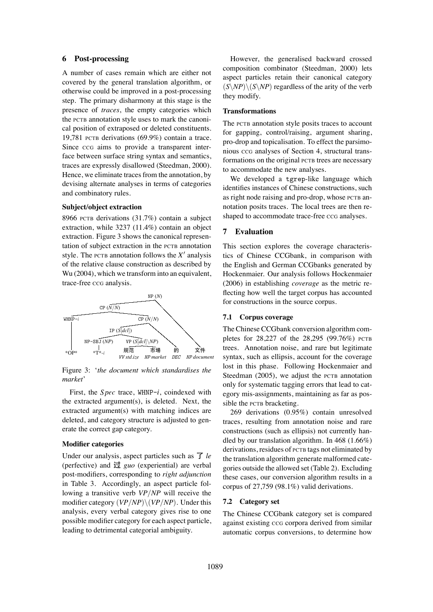# **6 Post-processing**

A number of cases remain which are either not covered by the general translation algorithm, or otherwise could be improved in a post-processing step. The primary disharmony at this stage is the presence of *traces*, the empty categories which the PCTB annotation style uses to mark the canonical position of extraposed or deleted constituents. 19,781 PCTB derivations (69.9%) contain a trace. Since CCG aims to provide a transparent interface between surface string syntax and semantics, traces are expressly disallowed (Steedman, 2000). Hence, we eliminate traces from the annotation, by devising alternate analyses in terms of categories and combinatory rules.

### **Subject/object extraction**

8966 PCTB derivations (31.7%) contain a subject extraction, while 3237 (11.4%) contain an object extraction. Figure 3 shows the canonical representation of subject extraction in the PCTB annotation style. The PCTB annotation follows the X *′* analysis of the relative clause construction as described by Wu (2004), which we transform into an equivalent, trace-free CCG analysis.



Figure 3: '*the document which standardises the market*'

First, the  $Spec$  trace, WHNP-i, coindexed with the extracted argument(s), is deleted. Next, the extracted argument(s) with matching indices are deleted, and category structure is adjusted to generate the correct gap category.

#### **Modifier categories**

Under our analysis, aspect particles such as 了 *le* (perfective) and 过 *guo* (experiential) are verbal post-modifiers, corresponding to *right adjunction* in Table 3. Accordingly, an aspect particle following a transitive verb *VP*/*NP* will receive the modifier category (*VP*/*NP*)*\*(*VP*/*NP*). Under this analysis, every verbal category gives rise to one possible modifier category for each aspect particle, leading to detrimental categorial ambiguity.

However, the generalised backward crossed composition combinator (Steedman, 2000) lets aspect particles retain their canonical category  $(S\\slash NP) \setminus (S\\slash NP)$  regardless of the arity of the verb they modify.

#### **Transformations**

The PCTB annotation style posits traces to account for gapping, control/raising, argument sharing, pro-drop and topicalisation. To effect the parsimonious CCG analyses of Section 4, structural transformations on the original PCTB trees are necessary to accommodate the new analyses.

We developed a tgrep-like language which identifies instances of Chinese constructions, such as right node raising and pro-drop, whose PCTB annotation posits traces. The local trees are then reshaped to accommodate trace-free CCG analyses.

## **7 Evaluation**

This section explores the coverage characteristics of Chinese CCGbank, in comparison with the English and German CCGbanks generated by Hockenmaier. Our analysis follows Hockenmaier (2006) in establishing *coverage* as the metric reflecting how well the target corpus has accounted for constructions in the source corpus.

#### **7.1 Corpus coverage**

The Chinese CCGbank conversion algorithm completes for 28,227 of the 28,295 (99.76%) PCTB trees. Annotation noise, and rare but legitimate syntax, such as ellipsis, account for the coverage lost in this phase. Following Hockenmaier and Steedman (2005), we adjust the PCTB annotation only for systematic tagging errors that lead to category mis-assignments, maintaining as far as possible the PCTB bracketing.

269 derivations (0.95%) contain unresolved traces, resulting from annotation noise and rare constructions (such as ellipsis) not currently handled by our translation algorithm. In 468 (1.66%) derivations, residues of PCTB tags not eliminated by the translation algorithm generate malformed categories outside the allowed set (Table 2). Excluding these cases, our conversion algorithm results in a corpus of 27,759 (98.1%) valid derivations.

## **7.2 Category set**

The Chinese CCGbank category set is compared against existing CCG corpora derived from similar automatic corpus conversions, to determine how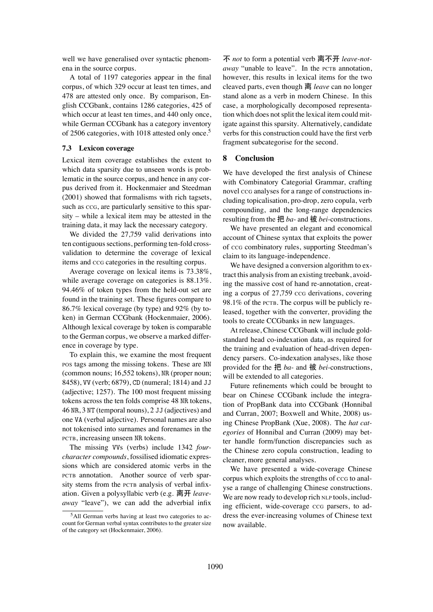well we have generalised over syntactic phenomena in the source corpus.

A total of 1197 categories appear in the final corpus, of which 329 occur at least ten times, and 478 are attested only once. By comparison, English CCGbank, contains 1286 categories, 425 of which occur at least ten times, and 440 only once, while German CCGbank has a category inventory of 2506 categories, with 1018 attested only once.<sup>5</sup>

#### **7.3 Lexicon coverage**

Lexical item coverage establishes the extent to which data sparsity due to unseen words is problematic in the source corpus, and hence in any corpus derived from it. Hockenmaier and Steedman (2001) showed that formalisms with rich tagsets, such as  $ccG$ , are particularly sensitive to this sparsity – while a lexical item may be attested in the training data, it may lack the necessary category.

We divided the 27,759 valid derivations into ten contiguous sections, performing ten-fold crossvalidation to determine the coverage of lexical items and CCG categories in the resulting corpus.

Average coverage on lexical items is 73.38%, while average coverage on categories is 88.13%. 94.46% of token types from the held-out set are found in the training set. These figures compare to 86.7% lexical coverage (by type) and 92% (by token) in German CCGbank (Hockenmaier, 2006). Although lexical coverage by token is comparable to the German corpus, we observe a marked difference in coverage by type.

To explain this, we examine the most frequent POS tags among the missing tokens. These are NN (common nouns; 16,552 tokens), NR (proper noun; 8458), VV (verb; 6879), CD (numeral; 1814) and JJ (adjective; 1257). The 100 most frequent missing tokens across the ten folds comprise 48 NR tokens, 46 NR, 3 NT (temporal nouns), 2 JJ (adjectives) and one VA (verbal adjective). Personal names are also not tokenised into surnames and forenames in the PCTB, increasing unseen NR tokens.

The missing VVs (verbs) include 1342 *fourcharacter compounds*, fossilised idiomatic expressions which are considered atomic verbs in the PCTB annotation. Another source of verb sparsity stems from the PCTB analysis of verbal infixation. Given a polysyllabic verb (e.g. 离开 *leaveaway* "leave"), we can add the adverbial infix

不 *not* to form a potential verb 离不开 *leave-notaway* "unable to leave". In the PCTB annotation, however, this results in lexical items for the two cleaved parts, even though 离 *leave* can no longer stand alone as a verb in modern Chinese. In this case, a morphologically decomposed representation which does not split the lexical item could mitigate against this sparsity. Alternatively, candidate verbs for this construction could have the first verb fragment subcategorise for the second.

#### **8 Conclusion**

We have developed the first analysis of Chinese with Combinatory Categorial Grammar, crafting novel CCG analyses for a range of constructions including topicalisation, pro-drop, zero copula, verb compounding, and the long-range dependencies resulting from the 把 *ba*- and 被 *bei*-constructions.

We have presented an elegant and economical account of Chinese syntax that exploits the power of CCG combinatory rules, supporting Steedman's claim to its language-independence.

We have designed a conversion algorithm to extract this analysis from an existing treebank, avoiding the massive cost of hand re-annotation, creating a corpus of 27,759 CCG derivations, covering 98.1% of the PCTB. The corpus will be publicly released, together with the converter, providing the tools to create CCGbanks in new languages.

At release, Chinese CCGbank will include goldstandard head co-indexation data, as required for the training and evaluation of head-driven dependency parsers. Co-indexation analyses, like those provided for the 把 *ba*- and 被 *bei*-constructions, will be extended to all categories.

Future refinements which could be brought to bear on Chinese CCGbank include the integration of PropBank data into CCGbank (Honnibal and Curran, 2007; Boxwell and White, 2008) using Chinese PropBank (Xue, 2008). The *hat categories* of Honnibal and Curran (2009) may better handle form/function discrepancies such as the Chinese zero copula construction, leading to cleaner, more general analyses.

We have presented a wide-coverage Chinese corpus which exploits the strengths of CCG to analyse a range of challenging Chinese constructions. We are now ready to develop rich NLP tools, including efficient, wide-coverage CCG parsers, to address the ever-increasing volumes of Chinese text now available.

<sup>5</sup>All German verbs having at least two categories to account for German verbal syntax contributes to the greater size of the category set (Hockenmaier, 2006).